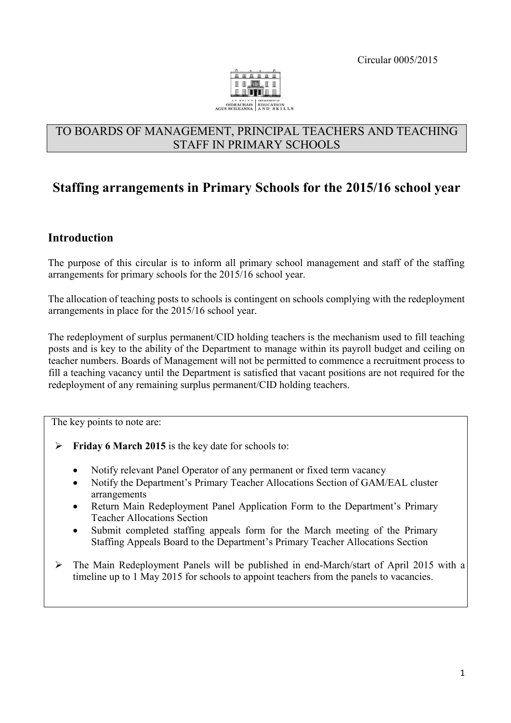Circular 0005/2015



## TO BOARDS OF MANAGEMENT, PRINCIPAL TEACHERS AND TEACHING STAFF IN PRIMARY SCHOOLS

# **Staffing arrangements in Primary Schools for the 2015/16 school year**

### **Introduction**

The purpose of this circular is to inform all primary school management and staff of the staffing arrangements for primary schools for the 2015/16 school year.

The allocation of teaching posts to schools is contingent on schools complying with the redeployment arrangements in place for the 2015/16 school year.

The redeployment of surplus permanent/CID holding teachers is the mechanism used to fill teaching posts and is key to the ability of the Department to manage within its payroll budget and ceiling on teacher numbers. Boards of Management will not be permitted to commence a recruitment process to fill a teaching vacancy until the Department is satisfied that vacant positions are not required for the redeployment of any remaining surplus permanent/CID holding teachers.

The key points to note are:

- **Friday 6 March 2015** is the key date for schools to:
	- Notify relevant Panel Operator of any permanent or fixed term vacancy
	- Notify the Department's Primary Teacher Allocations Section of GAM/EAL cluster arrangements
	- Return Main Redeployment Panel Application Form to the Department's Primary Teacher Allocations Section
	- Submit completed staffing appeals form for the March meeting of the Primary Staffing Appeals Board to the Department's Primary Teacher Allocations Section
- The Main Redeployment Panels will be published in end-March/start of April 2015 with a timeline up to 1 May 2015 for schools to appoint teachers from the panels to vacancies.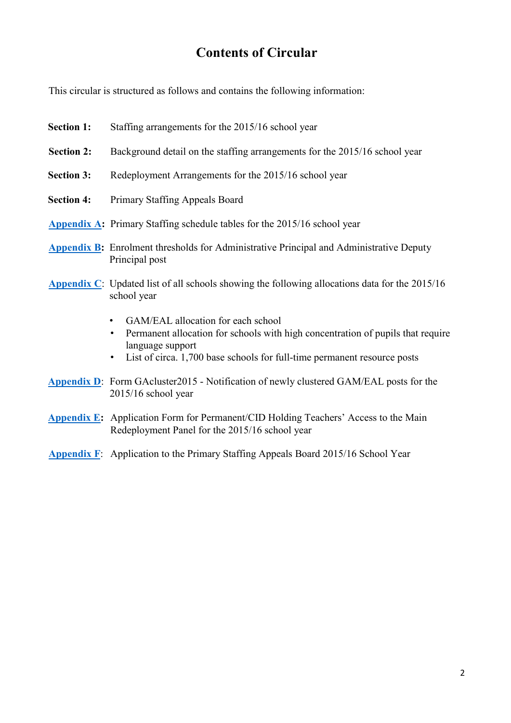# **Contents of Circular**

This circular is structured as follows and contains the following information:

- **Section 1:** Staffing arrangements for the 2015/16 school year **Section 2:** Background detail on the staffing arrangements for the 2015/16 school year **Section 3:** Redeployment Arrangements for the 2015/16 school year **Section 4:** Primary Staffing Appeals Board **[Appendix A:](http://www.education.ie/en/Circulars-and-Forms/Active-Circulars/cl0005_2015_appendix_a.pdf)** Primary Staffing schedule tables for the 2015/16 school year **[Appendix B:](http://www.education.ie/en/Circulars-and-Forms/Active-Circulars/cl0005_2015_appendix_b.pdf)** Enrolment thresholds for Administrative Principal and Administrative Deputy Principal post **[Appendix C](http://www.education.ie/en/Circulars-and-Forms/Active-Circulars/cl0005_2015_appendix_c.pdf)**[:](http://www.education.ie/en/Circulars-and-Forms/Active-Circulars/cl0005_2015_appendix_c.pdf) Updated list of all schools showing the following allocations data for the 2015/16 school year
	- GAM/EAL allocation for each school
	- Permanent allocation for schools with high concentration of pupils that require language support
	- List of circa. 1,700 base schools for full-time permanent resource posts
- **[Appendix D](http://www.education.ie/en/Circulars-and-Forms/Active-Circulars/cl0005_2015_appendix_d.pdf)**[:](http://www.education.ie/en/Circulars-and-Forms/Active-Circulars/cl0005_2015_appendix_d.pdf) Form GAcluster2015 Notification of newly clustered GAM/EAL posts for the 2015/16 school year
- **[Appendix E:](http://www.education.ie/en/Circulars-and-Forms/Active-Circulars/cl0005_2015_appendix_e.pdf)** Application Form for Permanent/CID Holding Teachers' Access to the Main Redeployment Panel for the 2015/16 school year
- **[Appendix F](http://www.education.ie/en/Circulars-and-Forms/Active-Circulars/cl0005_2015_appendix_f.pdf)**[:](http://www.education.ie/en/Circulars-and-Forms/Active-Circulars/cl0005_2015_appendix_f.pdf) Application to the Primary Staffing Appeals Board 2015/16 School Year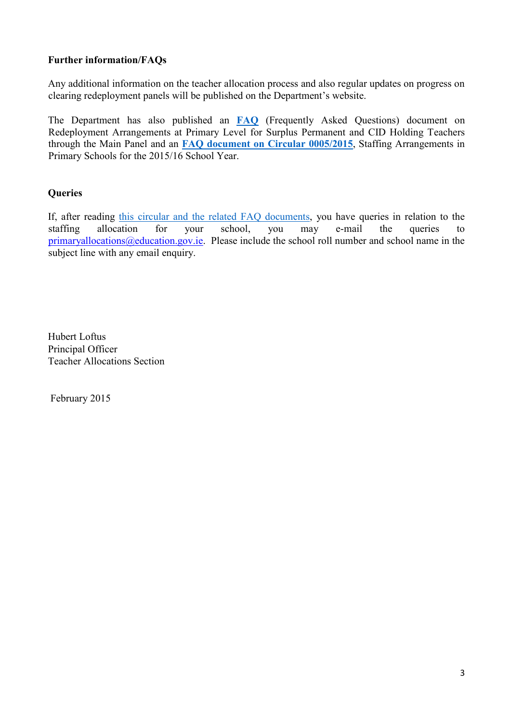### **Further information/FAQs**

Any additional information on the teacher allocation process and also regular updates on progress on clearing redeployment panels will be published on the Department's website.

The Department has also published an **[FAQ](http://www.education.ie/en/Schools-Colleges/Services/Teacher-Allocations-Staffing/Teacher-Allocation/cl0005_2015_main_panel_faq.pdf)** (Frequently Asked Questions) document on Redeployment Arrangements at Primary Level for Surplus Permanent and CID Holding Teachers through the Main Panel and an **FAQ [document on Circular 0005/2015](http://www.education.ie/en/Schools-Colleges/Services/Teacher-Allocations-Staffing/Teacher-Allocation/cl0005_2015_circular_faq.pdf)**, Staffing Arrangements in Primary Schools for the 2015/16 School Year.

### **Queries**

If, after reading this circular [and the related FAQ documents,](http://www.education.ie/en/Schools-Colleges/Services/Teacher-Allocations-Staffing/Teacher-Allocation/cl0005_2015_circular_faq.pdf) you have queries in relation to the staffing allocation for your school, you may e-mail the queries to primaryallocations@education.gov.ie. Please include the school roll number and school name in the subject line with any email enquiry.

Hubert Loftus Principal Officer Teacher Allocations Section

February 2015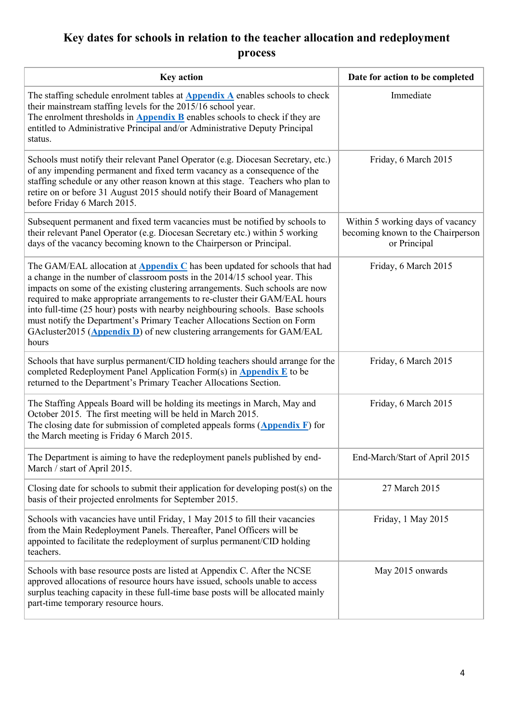# **Key dates for schools in relation to the teacher allocation and redeployment process**

| <b>Key action</b>                                                                                                                                                                                                                                                                                                                                                                                                                                                                                                                                                              | Date for action to be completed                                                       |
|--------------------------------------------------------------------------------------------------------------------------------------------------------------------------------------------------------------------------------------------------------------------------------------------------------------------------------------------------------------------------------------------------------------------------------------------------------------------------------------------------------------------------------------------------------------------------------|---------------------------------------------------------------------------------------|
| The staffing schedule enrolment tables at <b>Appendix A</b> enables schools to check<br>their mainstream staffing levels for the 2015/16 school year.<br>The enrolment thresholds in <b>Appendix B</b> enables schools to check if they are<br>entitled to Administrative Principal and/or Administrative Deputy Principal<br>status.                                                                                                                                                                                                                                          | Immediate                                                                             |
| Schools must notify their relevant Panel Operator (e.g. Diocesan Secretary, etc.)<br>of any impending permanent and fixed term vacancy as a consequence of the<br>staffing schedule or any other reason known at this stage. Teachers who plan to<br>retire on or before 31 August 2015 should notify their Board of Management<br>before Friday 6 March 2015.                                                                                                                                                                                                                 | Friday, 6 March 2015                                                                  |
| Subsequent permanent and fixed term vacancies must be notified by schools to<br>their relevant Panel Operator (e.g. Diocesan Secretary etc.) within 5 working<br>days of the vacancy becoming known to the Chairperson or Principal.                                                                                                                                                                                                                                                                                                                                           | Within 5 working days of vacancy<br>becoming known to the Chairperson<br>or Principal |
| The GAM/EAL allocation at <b>Appendix C</b> has been updated for schools that had<br>a change in the number of classroom posts in the 2014/15 school year. This<br>impacts on some of the existing clustering arrangements. Such schools are now<br>required to make appropriate arrangements to re-cluster their GAM/EAL hours<br>into full-time (25 hour) posts with nearby neighbouring schools. Base schools<br>must notify the Department's Primary Teacher Allocations Section on Form<br>GAcluster2015 (Appendix D) of new clustering arrangements for GAM/EAL<br>hours | Friday, 6 March 2015                                                                  |
| Schools that have surplus permanent/CID holding teachers should arrange for the<br>completed Redeployment Panel Application Form(s) in <b>Appendix E</b> to be<br>returned to the Department's Primary Teacher Allocations Section.                                                                                                                                                                                                                                                                                                                                            | Friday, 6 March 2015                                                                  |
| The Staffing Appeals Board will be holding its meetings in March, May and<br>October 2015. The first meeting will be held in March 2015.<br>The closing date for submission of completed appeals forms $(\triangle ppendix)$ for<br>the March meeting is Friday 6 March 2015.                                                                                                                                                                                                                                                                                                  | Friday, 6 March 2015                                                                  |
| The Department is aiming to have the redeployment panels published by end-<br>March / start of April 2015.                                                                                                                                                                                                                                                                                                                                                                                                                                                                     | End-March/Start of April 2015                                                         |
| Closing date for schools to submit their application for developing post(s) on the<br>basis of their projected enrolments for September 2015.                                                                                                                                                                                                                                                                                                                                                                                                                                  | 27 March 2015                                                                         |
| Schools with vacancies have until Friday, 1 May 2015 to fill their vacancies<br>from the Main Redeployment Panels. Thereafter, Panel Officers will be<br>appointed to facilitate the redeployment of surplus permanent/CID holding<br>teachers.                                                                                                                                                                                                                                                                                                                                | Friday, 1 May 2015                                                                    |
| Schools with base resource posts are listed at Appendix C. After the NCSE<br>approved allocations of resource hours have issued, schools unable to access<br>surplus teaching capacity in these full-time base posts will be allocated mainly<br>part-time temporary resource hours.                                                                                                                                                                                                                                                                                           | May 2015 onwards                                                                      |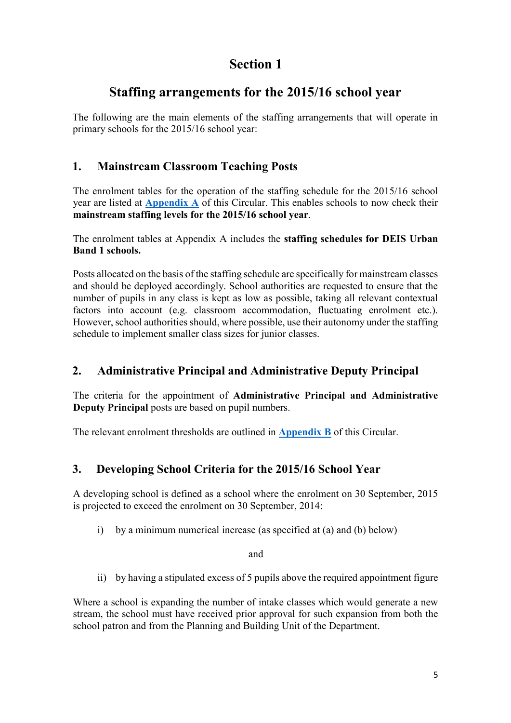# **Staffing arrangements for the 2015/16 school year**

The following are the main elements of the staffing arrangements that will operate in primary schools for the 2015/16 school year:

## **1. Mainstream Classroom Teaching Posts**

The enrolment tables for the operation of the staffing schedule for the 2015/16 school year are listed at **[Appendix A](http://www.education.ie/en/Circulars-and-Forms/Active-Circulars/cl0005_2015_appendix_a.pdf)** of this Circular. This enables schools to now check their **mainstream staffing levels for the 2015/16 school year**.

The enrolment tables at Appendix A includes the **staffing schedules for DEIS Urban Band 1 schools.**

Posts allocated on the basis of the staffing schedule are specifically for mainstream classes and should be deployed accordingly. School authorities are requested to ensure that the number of pupils in any class is kept as low as possible, taking all relevant contextual factors into account (e.g. classroom accommodation, fluctuating enrolment etc.). However, school authorities should, where possible, use their autonomy under the staffing schedule to implement smaller class sizes for junior classes.

## **2. Administrative Principal and Administrative Deputy Principal**

The criteria for the appointment of **Administrative Principal and Administrative Deputy Principal** posts are based on pupil numbers.

The relevant enrolment thresholds are outlined in **[Appendix B](http://www.education.ie/en/Circulars-and-Forms/Active-Circulars/cl0005_2015_appendix_b.pdf)** of this Circular.

## **3. Developing School Criteria for the 2015/16 School Year**

A developing school is defined as a school where the enrolment on 30 September, 2015 is projected to exceed the enrolment on 30 September, 2014:

i) by a minimum numerical increase (as specified at (a) and (b) below)

and

ii) by having a stipulated excess of 5 pupils above the required appointment figure

Where a school is expanding the number of intake classes which would generate a new stream, the school must have received prior approval for such expansion from both the school patron and from the Planning and Building Unit of the Department.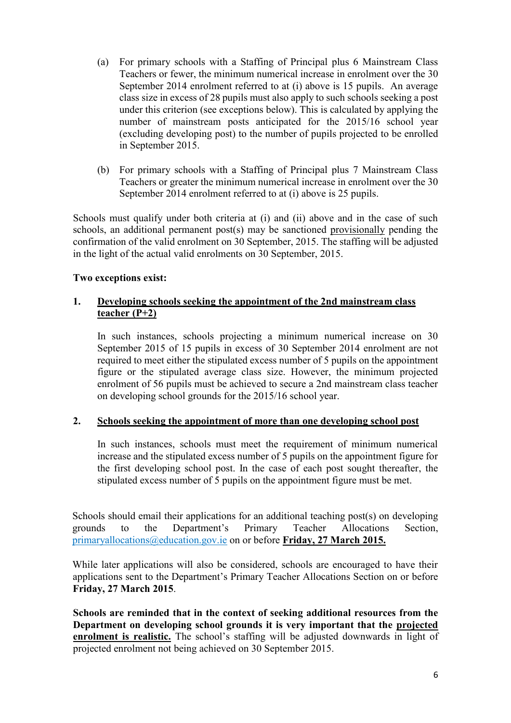- (a) For primary schools with a Staffing of Principal plus 6 Mainstream Class Teachers or fewer, the minimum numerical increase in enrolment over the 30 September 2014 enrolment referred to at (i) above is 15 pupils. An average class size in excess of 28 pupils must also apply to such schools seeking a post under this criterion (see exceptions below). This is calculated by applying the number of mainstream posts anticipated for the 2015/16 school year (excluding developing post) to the number of pupils projected to be enrolled in September 2015.
- (b) For primary schools with a Staffing of Principal plus 7 Mainstream Class Teachers or greater the minimum numerical increase in enrolment over the 30 September 2014 enrolment referred to at (i) above is 25 pupils.

Schools must qualify under both criteria at (i) and (ii) above and in the case of such schools, an additional permanent post(s) may be sanctioned provisionally pending the confirmation of the valid enrolment on 30 September, 2015. The staffing will be adjusted in the light of the actual valid enrolments on 30 September, 2015.

### **Two exceptions exist:**

#### **1. Developing schools seeking the appointment of the 2nd mainstream class teacher (P+2)**

In such instances, schools projecting a minimum numerical increase on 30 September 2015 of 15 pupils in excess of 30 September 2014 enrolment are not required to meet either the stipulated excess number of 5 pupils on the appointment figure or the stipulated average class size. However, the minimum projected enrolment of 56 pupils must be achieved to secure a 2nd mainstream class teacher on developing school grounds for the 2015/16 school year.

#### **2. Schools seeking the appointment of more than one developing school post**

In such instances, schools must meet the requirement of minimum numerical increase and the stipulated excess number of 5 pupils on the appointment figure for the first developing school post. In the case of each post sought thereafter, the stipulated excess number of 5 pupils on the appointment figure must be met.

Schools should email their applications for an additional teaching post(s) on developing grounds to the Department's Primary Teacher Allocations Section, primaryallocations@education.gov.ie on or before **Friday, 27 March 2015.**

While later applications will also be considered, schools are encouraged to have their applications sent to the Department's Primary Teacher Allocations Section on or before **Friday, 27 March 2015**.

**Schools are reminded that in the context of seeking additional resources from the Department on developing school grounds it is very important that the projected enrolment is realistic.** The school's staffing will be adjusted downwards in light of projected enrolment not being achieved on 30 September 2015.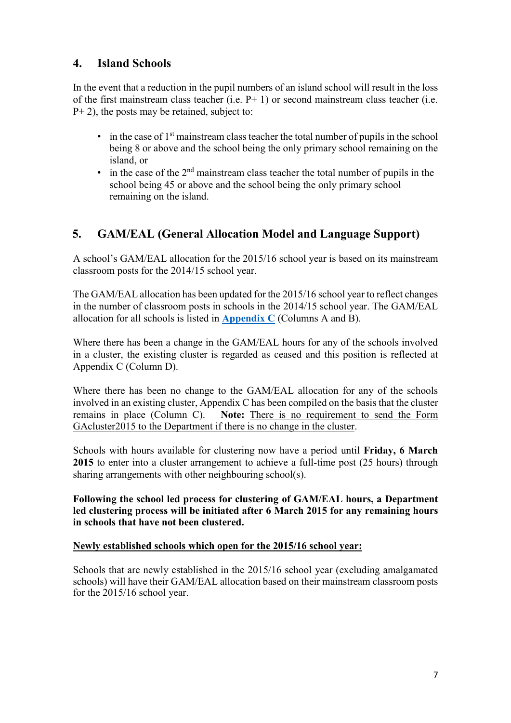## **4. Island Schools**

In the event that a reduction in the pupil numbers of an island school will result in the loss of the first mainstream class teacher (i.e.  $P+1$ ) or second mainstream class teacher (i.e.  $P+ 2$ ), the posts may be retained, subject to:

- $\bullet$  in the case of  $1<sup>st</sup>$  mainstream class teacher the total number of pupils in the school being 8 or above and the school being the only primary school remaining on the island, or
- $\bullet$  in the case of the 2<sup>nd</sup> mainstream class teacher the total number of pupils in the school being 45 or above and the school being the only primary school remaining on the island.

## **5. GAM/EAL (General Allocation Model and Language Support)**

A school's GAM/EAL allocation for the 2015/16 school year is based on its mainstream classroom posts for the 2014/15 school year.

The GAM/EAL allocation has been updated for the 2015/16 school year to reflect changes in the number of classroom posts in schools in the 2014/15 school year. The GAM/EAL allocation for all schools is listed in **[Appendix C](http://www.education.ie/en/Circulars-and-Forms/Active-Circulars/cl0005_2015_appendix_c.pdf)** (Columns A and B).

Where there has been a change in the GAM/EAL hours for any of the schools involved in a cluster, the existing cluster is regarded as ceased and this position is reflected at Appendix C (Column D).

Where there has been no change to the GAM/EAL allocation for any of the schools involved in an existing cluster, Appendix C has been compiled on the basis that the cluster remains in place (Column C). **Note:** There is no requirement to send the Form GAcluster2015 to the Department if there is no change in the cluster.

Schools with hours available for clustering now have a period until **Friday, 6 March 2015** to enter into a cluster arrangement to achieve a full-time post (25 hours) through sharing arrangements with other neighbouring school(s).

**Following the school led process for clustering of GAM/EAL hours, a Department led clustering process will be initiated after 6 March 2015 for any remaining hours in schools that have not been clustered.** 

#### **Newly established schools which open for the 2015/16 school year:**

Schools that are newly established in the 2015/16 school year (excluding amalgamated schools) will have their GAM/EAL allocation based on their mainstream classroom posts for the 2015/16 school year.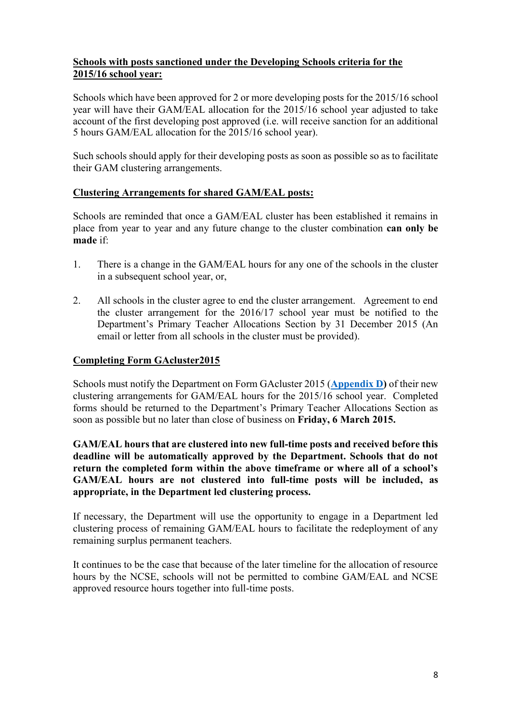#### **Schools with posts sanctioned under the Developing Schools criteria for the 2015/16 school year:**

Schools which have been approved for 2 or more developing posts for the 2015/16 school year will have their GAM/EAL allocation for the 2015/16 school year adjusted to take account of the first developing post approved (i.e. will receive sanction for an additional 5 hours GAM/EAL allocation for the 2015/16 school year).

Such schools should apply for their developing posts as soon as possible so as to facilitate their GAM clustering arrangements.

#### **Clustering Arrangements for shared GAM/EAL posts:**

Schools are reminded that once a GAM/EAL cluster has been established it remains in place from year to year and any future change to the cluster combination **can only be made** if:

- 1. There is a change in the GAM/EAL hours for any one of the schools in the cluster in a subsequent school year, or,
- 2. All schools in the cluster agree to end the cluster arrangement. Agreement to end the cluster arrangement for the 2016/17 school year must be notified to the Department's Primary Teacher Allocations Section by 31 December 2015 (An email or letter from all schools in the cluster must be provided).

#### **Completing Form GAcluster2015**

Schools must notify the Department on Form GAcluster 2015 (**[Appendix D](http://www.education.ie/en/Circulars-and-Forms/Active-Circulars/cl0005_2015_appendix_d.pdf)[\)](http://www.education.ie/en/Circulars-and-Forms/Active-Circulars/cl0013_2013_appendix_D.pdf)** of their new clustering arrangements for GAM/EAL hours for the 2015/16 school year. Completed forms should be returned to the Department's Primary Teacher Allocations Section as soon as possible but no later than close of business on **Friday, 6 March 2015.** 

**GAM/EAL hours that are clustered into new full-time posts and received before this deadline will be automatically approved by the Department. Schools that do not return the completed form within the above timeframe or where all of a school's GAM/EAL hours are not clustered into full-time posts will be included, as appropriate, in the Department led clustering process.**

If necessary, the Department will use the opportunity to engage in a Department led clustering process of remaining GAM/EAL hours to facilitate the redeployment of any remaining surplus permanent teachers.

It continues to be the case that because of the later timeline for the allocation of resource hours by the NCSE, schools will not be permitted to combine GAM/EAL and NCSE approved resource hours together into full-time posts.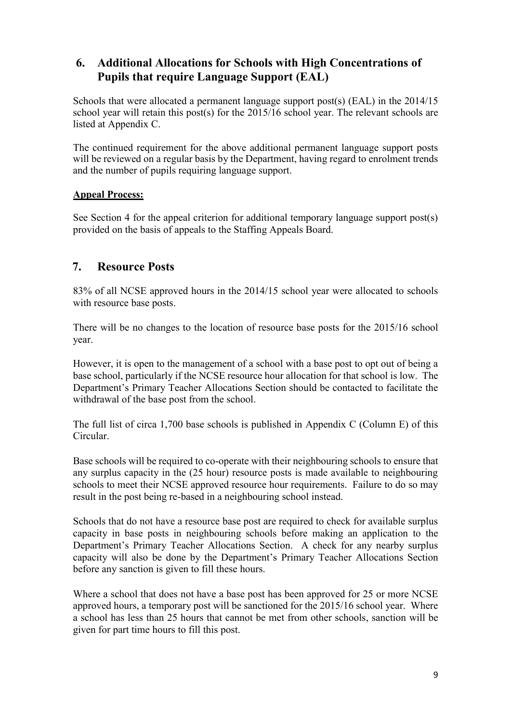## **6. Additional Allocations for Schools with High Concentrations of Pupils that require Language Support (EAL)**

Schools that were allocated a permanent language support post(s) (EAL) in the 2014/15 school year will retain this post(s) for the 2015/16 school year. The relevant schools are listed at [Appendix C.](http://www.education.ie/en/Circulars-and-Forms/Active-Circulars/cl0007_2014_appendixC.pdf)

The continued requirement for the above additional permanent language support posts will be reviewed on a regular basis by the Department, having regard to enrolment trends and the number of pupils requiring language support.

### **Appeal Process:**

See Section 4 for the appeal criterion for additional temporary language support post(s) provided on the basis of appeals to the Staffing Appeals Board.

## **7. Resource Posts**

83% of all NCSE approved hours in the 2014/15 school year were allocated to schools with resource base posts.

There will be no changes to the location of resource base posts for the 2015/16 school year.

However, it is open to the management of a school with a base post to opt out of being a base school, particularly if the NCSE resource hour allocation for that school is low. The Department's Primary Teacher Allocations Section should be contacted to facilitate the withdrawal of the base post from the school.

The full list of circa 1,700 base schools is published in Appendix C (Column E) of this Circular.

Base schools will be required to co-operate with their neighbouring schools to ensure that any surplus capacity in the (25 hour) resource posts is made available to neighbouring schools to meet their NCSE approved resource hour requirements. Failure to do so may result in the post being re-based in a neighbouring school instead.

Schools that do not have a resource base post are required to check for available surplus capacity in base posts in neighbouring schools before making an application to the Department's Primary Teacher Allocations Section. A check for any nearby surplus capacity will also be done by the Department's Primary Teacher Allocations Section before any sanction is given to fill these hours.

Where a school that does not have a base post has been approved for 25 or more NCSE approved hours, a temporary post will be sanctioned for the 2015/16 school year. Where a school has less than 25 hours that cannot be met from other schools, sanction will be given for part time hours to fill this post.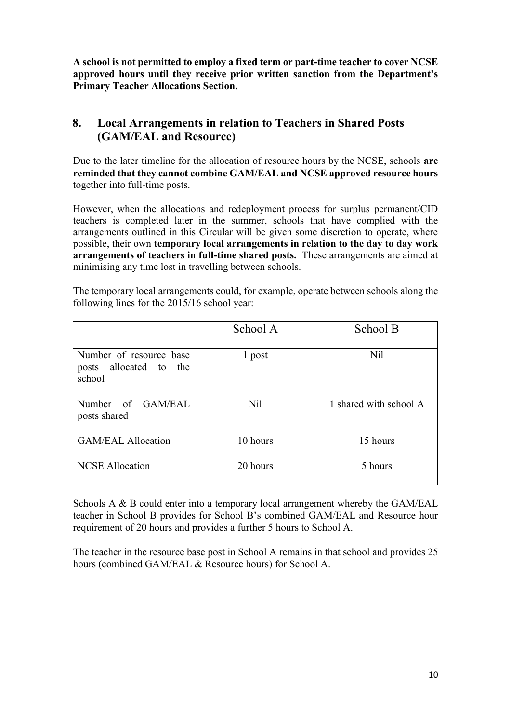**A school is not permitted to employ a fixed term or part-time teacher to cover NCSE approved hours until they receive prior written sanction from the Department's Primary Teacher Allocations Section.** 

## **8. Local Arrangements in relation to Teachers in Shared Posts (GAM/EAL and Resource)**

Due to the later timeline for the allocation of resource hours by the NCSE, schools **are reminded that they cannot combine GAM/EAL and NCSE approved resource hours** together into full-time posts.

However, when the allocations and redeployment process for surplus permanent/CID teachers is completed later in the summer, schools that have complied with the arrangements outlined in this Circular will be given some discretion to operate, where possible, their own **temporary local arrangements in relation to the day to day work arrangements of teachers in full-time shared posts.** These arrangements are aimed at minimising any time lost in travelling between schools.

| The temporary local arrangements could, for example, operate between schools along the |  |
|----------------------------------------------------------------------------------------|--|
| following lines for the 2015/16 school year:                                           |  |

|                                                                | School A | School B               |
|----------------------------------------------------------------|----------|------------------------|
| Number of resource base<br>allocated to the<br>posts<br>school | 1 post   | Nil                    |
| Number of GAM/EAL<br>posts shared                              | Nil      | 1 shared with school A |
| <b>GAM/EAL Allocation</b>                                      | 10 hours | 15 hours               |
| <b>NCSE Allocation</b>                                         | 20 hours | 5 hours                |

Schools A & B could enter into a temporary local arrangement whereby the GAM/EAL teacher in School B provides for School B's combined GAM/EAL and Resource hour requirement of 20 hours and provides a further 5 hours to School A.

The teacher in the resource base post in School A remains in that school and provides 25 hours (combined GAM/EAL & Resource hours) for School A.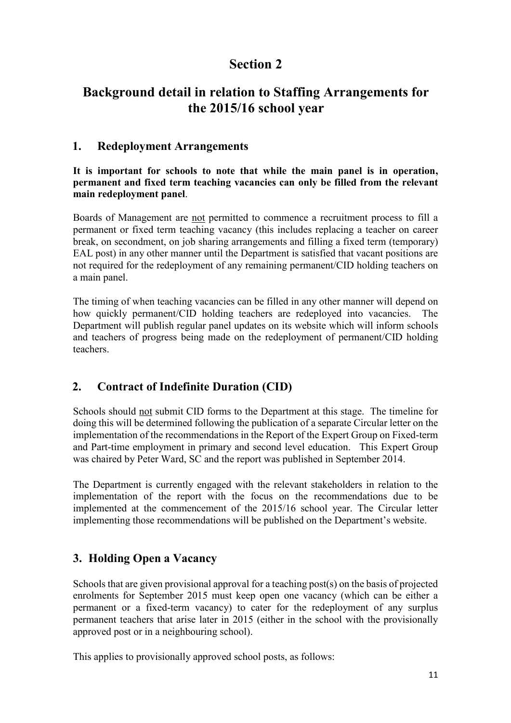## **Background detail in relation to Staffing Arrangements for the 2015/16 school year**

### **1. Redeployment Arrangements**

**It is important for schools to note that while the main panel is in operation, permanent and fixed term teaching vacancies can only be filled from the relevant main redeployment panel**.

Boards of Management are not permitted to commence a recruitment process to fill a permanent or fixed term teaching vacancy (this includes replacing a teacher on career break, on secondment, on job sharing arrangements and filling a fixed term (temporary) EAL post) in any other manner until the Department is satisfied that vacant positions are not required for the redeployment of any remaining permanent/CID holding teachers on a main panel.

The timing of when teaching vacancies can be filled in any other manner will depend on how quickly permanent/CID holding teachers are redeployed into vacancies. The Department will publish regular panel updates on its website which will inform schools and teachers of progress being made on the redeployment of permanent/CID holding teachers.

## **2. Contract of Indefinite Duration (CID)**

Schools should not submit CID forms to the Department at this stage. The timeline for doing this will be determined following the publication of a separate Circular letter on the implementation of the recommendations in the Report of the Expert Group on Fixed-term and Part-time employment in primary and second level education. This Expert Group was chaired by Peter Ward, SC and the report was published in September 2014.

The Department is currently engaged with the relevant stakeholders in relation to the implementation of the report with the focus on the recommendations due to be implemented at the commencement of the 2015/16 school year. The Circular letter implementing those recommendations will be published on the Department's website.

## **3. Holding Open a Vacancy**

Schools that are given provisional approval for a teaching post(s) on the basis of projected enrolments for September 2015 must keep open one vacancy (which can be either a permanent or a fixed-term vacancy) to cater for the redeployment of any surplus permanent teachers that arise later in 2015 (either in the school with the provisionally approved post or in a neighbouring school).

This applies to provisionally approved school posts, as follows: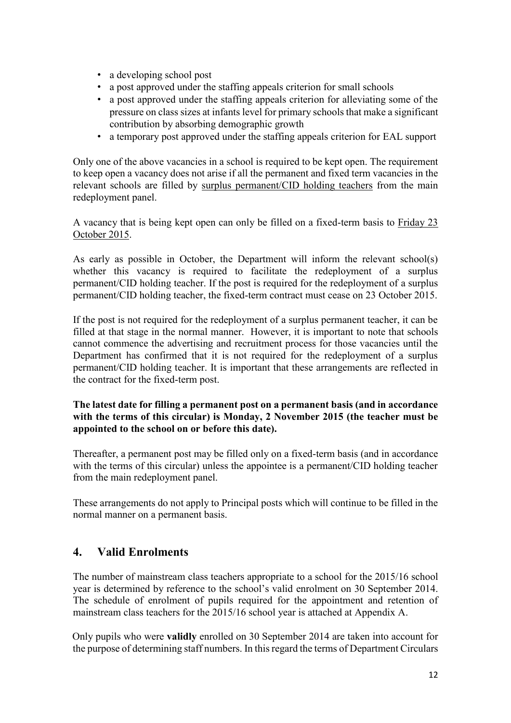- a developing school post
- a post approved under the staffing appeals criterion for small schools
- a post approved under the staffing appeals criterion for alleviating some of the pressure on class sizes at infants level for primary schools that make a significant contribution by absorbing demographic growth
- a temporary post approved under the staffing appeals criterion for EAL support

Only one of the above vacancies in a school is required to be kept open. The requirement to keep open a vacancy does not arise if all the permanent and fixed term vacancies in the relevant schools are filled by surplus permanent/CID holding teachers from the main redeployment panel.

A vacancy that is being kept open can only be filled on a fixed-term basis to Friday 23 October 2015.

As early as possible in October, the Department will inform the relevant school(s) whether this vacancy is required to facilitate the redeployment of a surplus permanent/CID holding teacher. If the post is required for the redeployment of a surplus permanent/CID holding teacher, the fixed-term contract must cease on 23 October 2015.

If the post is not required for the redeployment of a surplus permanent teacher, it can be filled at that stage in the normal manner. However, it is important to note that schools cannot commence the advertising and recruitment process for those vacancies until the Department has confirmed that it is not required for the redeployment of a surplus permanent/CID holding teacher. It is important that these arrangements are reflected in the contract for the fixed-term post.

**The latest date for filling a permanent post on a permanent basis (and in accordance with the terms of this circular) is Monday, 2 November 2015 (the teacher must be appointed to the school on or before this date).** 

Thereafter, a permanent post may be filled only on a fixed-term basis (and in accordance with the terms of this circular) unless the appointee is a permanent/CID holding teacher from the main redeployment panel.

These arrangements do not apply to Principal posts which will continue to be filled in the normal manner on a permanent basis.

## **4. Valid Enrolments**

The number of mainstream class teachers appropriate to a school for the 2015/16 school year is determined by reference to the school's valid enrolment on 30 September 2014. The schedule of enrolment of pupils required for the appointment and retention of mainstream class teachers for the 2015/16 school year is attached at Appendix [A.](http://www.education.ie/en/Circulars-and-Forms/Active-Circulars/cl0013_2013_appendix_A.pdf)

Only pupils who were **validly** enrolled on 30 September 2014 are taken into account for the purpose of determining staff numbers. In this regard the terms of Department Circulars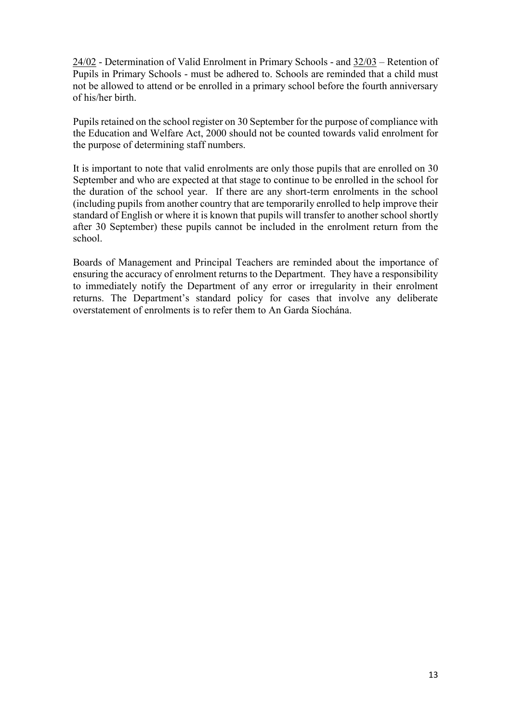[24/02](http://www.education.ie/en/Circulars-and-Forms/Active-Circulars/PC24_02.doc) - Determination of Valid Enrolment in Primary [S](http://www.education.ie/en/Circulars-and-Forms/Active-Circulars/PC24_02.doc)chools [-](http://www.education.ie/en/Circulars-and-Forms/Active-Circulars/PC24_02.doc) and [32/03](http://www.education.ie/en/Circulars-and-Forms/Active-Circulars/pc32_03.pdf) [–](http://www.education.ie/en/Circulars-and-Forms/Active-Circulars/pc32_03.pdf) Retention of Pupils in Primary Schoo[ls](http://www.education.ie/en/Circulars-and-Forms/Active-Circulars/pc32_03.pdf) - must be adhered to. Schools are reminded that a child must not be allowed to attend or be enrolled in a primary school before the fourth anniversary of his/her birth.

Pupils retained on the school register on 30 September for the purpose of compliance with the Education and Welfare Act, 2000 should not be counted towards valid enrolment for the purpose of determining staff numbers.

It is important to note that valid enrolments are only those pupils that are enrolled on 30 September and who are expected at that stage to continue to be enrolled in the school for the duration of the school year. If there are any short-term enrolments in the school (including pupils from another country that are temporarily enrolled to help improve their standard of English or where it is known that pupils will transfer to another school shortly after 30 September) these pupils cannot be included in the enrolment return from the school.

Boards of Management and Principal Teachers are reminded about the importance of ensuring the accuracy of enrolment returns to the Department. They have a responsibility to immediately notify the Department of any error or irregularity in their enrolment returns. The Department's standard policy for cases that involve any deliberate overstatement of enrolments is to refer them to An Garda Síochána.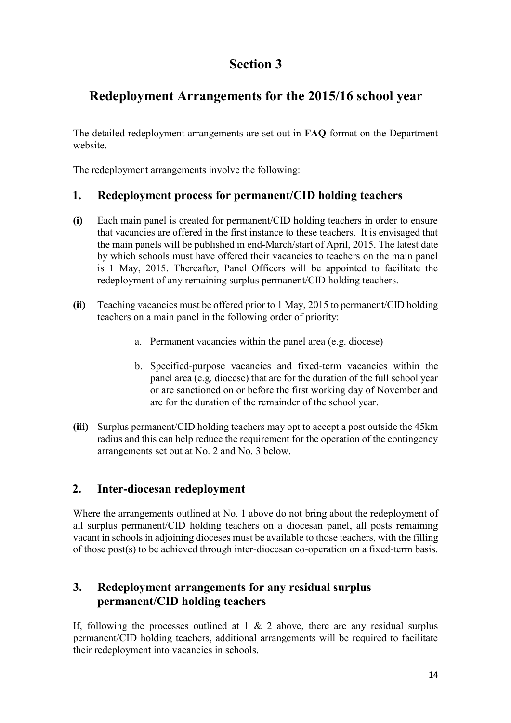# **Redeployment Arrangements for the 2015/16 school year**

The detailed redeployment arrangements are set out in **FAQ** format on the Department website.

The redeployment arrangements involve the following:

## **1. Redeployment process for permanent/CID holding teachers**

- **(i)** Each main panel is created for permanent/CID holding teachers in order to ensure that vacancies are offered in the first instance to these teachers. It is envisaged that the main panels will be published in end-March/start of April, 2015. The latest date by which schools must have offered their vacancies to teachers on the main panel is 1 May, 2015. Thereafter, Panel Officers will be appointed to facilitate the redeployment of any remaining surplus permanent/CID holding teachers.
- **(ii)** Teaching vacancies must be offered prior to 1 May, 2015 to permanent/CID holding teachers on a main panel in the following order of priority:
	- a. Permanent vacancies within the panel area (e.g. diocese)
	- b. Specified-purpose vacancies and fixed-term vacancies within the panel area (e.g. diocese) that are for the duration of the full school year or are sanctioned on or before the first working day of November and are for the duration of the remainder of the school year.
- **(iii)** Surplus permanent/CID holding teachers may opt to accept a post outside the 45km radius and this can help reduce the requirement for the operation of the contingency arrangements set out at No. 2 and No. 3 below.

## **2. Inter-diocesan redeployment**

Where the arrangements outlined at No. 1 above do not bring about the redeployment of all surplus permanent/CID holding teachers on a diocesan panel, all posts remaining vacant in schools in adjoining dioceses must be available to those teachers, with the filling of those post(s) to be achieved through inter-diocesan co-operation on a fixed-term basis.

## **3. Redeployment arrangements for any residual surplus permanent/CID holding teachers**

If, following the processes outlined at  $1 \& 2$  above, there are any residual surplus permanent/CID holding teachers, additional arrangements will be required to facilitate their redeployment into vacancies in schools.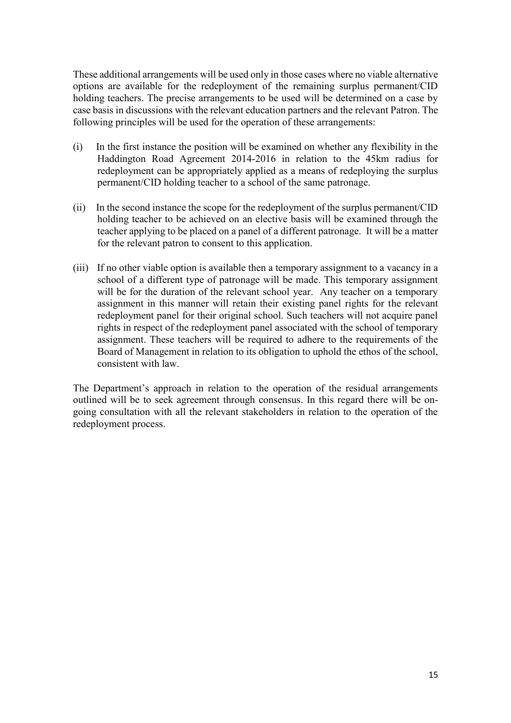These additional arrangements will be used only in those cases where no viable alternative options are available for the redeployment of the remaining surplus permanent/CID holding teachers. The precise arrangements to be used will be determined on a case by case basis in discussions with the relevant education partners and the relevant Patron. The following principles will be used for the operation of these arrangements:

- (i) In the first instance the position will be examined on whether any flexibility in the Haddington Road Agreement 2014-2016 in relation to the 45km radius for redeployment can be appropriately applied as a means of redeploying the surplus permanent/CID holding teacher to a school of the same patronage.
- (ii) In the second instance the scope for the redeployment of the surplus permanent/CID holding teacher to be achieved on an elective basis will be examined through the teacher applying to be placed on a panel of a different patronage. It will be a matter for the relevant patron to consent to this application.
- (iii) If no other viable option is available then a temporary assignment to a vacancy in a school of a different type of patronage will be made. This temporary assignment will be for the duration of the relevant school year. Any teacher on a temporary assignment in this manner will retain their existing panel rights for the relevant redeployment panel for their original school. Such teachers will not acquire panel rights in respect of the redeployment panel associated with the school of temporary assignment. These teachers will be required to adhere to the requirements of the Board of Management in relation to its obligation to uphold the ethos of the school, consistent with law.

The Department's approach in relation to the operation of the residual arrangements outlined will be to seek agreement through consensus. In this regard there will be ongoing consultation with all the relevant stakeholders in relation to the operation of the redeployment process.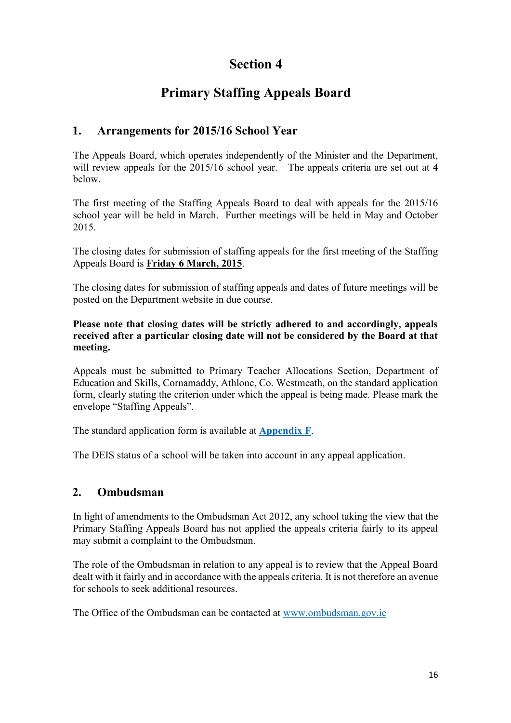# **Primary Staffing Appeals Board**

## **1. Arrangements for 2015/16 School Year**

The Appeals Board, which operates independently of the Minister and the Department, will review appeals for the 2015/16 school year. The appeals criteria are set out at **4**  below.

The first meeting of the Staffing Appeals Board to deal with appeals for the 2015/16 school year will be held in March. Further meetings will be held in May and October 2015.

The closing dates for submission of staffing appeals for the first meeting of the Staffing Appeals Board is **Friday 6 March, 2015**.

The closing dates for submission of staffing appeals and dates of future meetings will be posted on the Department website in due course.

**Please note that closing dates will be strictly adhered to and accordingly, appeals received after a particular closing date will not be considered by the Board at that meeting.** 

Appeals must be submitted to Primary Teacher Allocations Section, Department of Education and Skills, Cornamaddy, Athlone, Co. Westmeath, on the standard application form, clearly stating the criterion under which the appeal is being made. Please mark the envelope "Staffing Appeals".

The standard application form is available at **[Appendix F](http://www.education.ie/en/Circulars-and-Forms/Active-Circulars/cl0005_2015_appendix_f.pdf)**[.](http://www.education.ie/en/Circulars-and-Forms/Active-Circulars/cl0005_2015_appendix_f.pdf)

The DEIS status of a school will be taken into account in any appeal application.

## **2. Ombudsman**

In light of amendments to the Ombudsman Act 2012, any school taking the view that the Primary Staffing Appeals Board has not applied the appeals criteria fairly to its appeal may submit a complaint to the Ombudsman.

The role of the Ombudsman in relation to any appeal is to review that the Appeal Board dealt with it fairly and in accordance with the appeals criteria. It is not therefore an avenue for schools to seek additional resources.

The Office of the Ombudsman can be contacted at [www.ombudsman.gov.ie](http://www.ombudsman.gov.ie/en)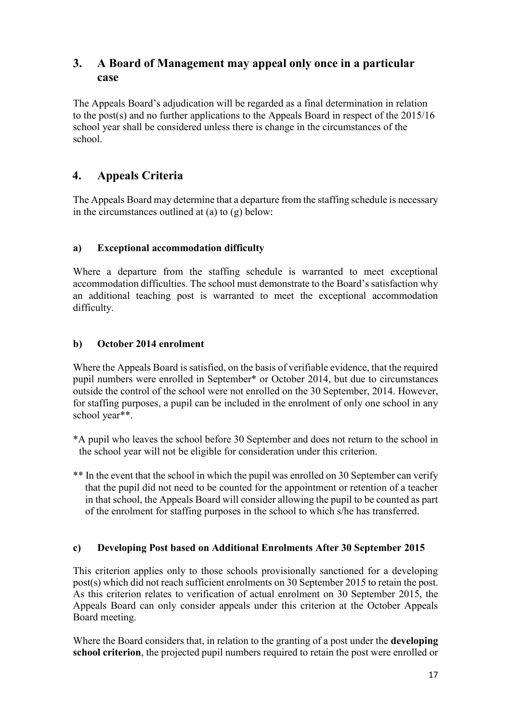## **3. A Board of Management may appeal only once in a particular case**

The Appeals Board's adjudication will be regarded as a final determination in relation to the post(s) and no further applications to the Appeals Board in respect of the 2015/16 school year shall be considered unless there is change in the circumstances of the school.

## **4. Appeals Criteria**

The Appeals Board may determine that a departure from the staffing schedule is necessary in the circumstances outlined at (a) to (g) below:

### **a) Exceptional accommodation difficulty**

Where a departure from the staffing schedule is warranted to meet exceptional accommodation difficulties. The school must demonstrate to the Board's satisfaction why an additional teaching post is warranted to meet the exceptional accommodation difficulty.

### **b) October 2014 enrolment**

Where the Appeals Board is satisfied, on the basis of verifiable evidence, that the required pupil numbers were enrolled in September\* or October 2014, but due to circumstances outside the control of the school were not enrolled on the 30 September, 2014. However, for staffing purposes, a pupil can be included in the enrolment of only one school in any school year\*\*.

- \*A pupil who leaves the school before 30 September and does not return to the school in the school year will not be eligible for consideration under this criterion.
- \*\* In the event that the school in which the pupil was enrolled on 30 September can verify that the pupil did not need to be counted for the appointment or retention of a teacher in that school, the Appeals Board will consider allowing the pupil to be counted as part of the enrolment for staffing purposes in the school to which s/he has transferred.

#### **c) Developing Post based on Additional Enrolments After 30 September 2015**

This criterion applies only to those schools provisionally sanctioned for a developing post(s) which did not reach sufficient enrolments on 30 September 2015 to retain the post. As this criterion relates to verification of actual enrolment on 30 September 2015, the Appeals Board can only consider appeals under this criterion at the October Appeals Board meeting.

Where the Board considers that, in relation to the granting of a post under the **developing school criterion**, the projected pupil numbers required to retain the post were enrolled or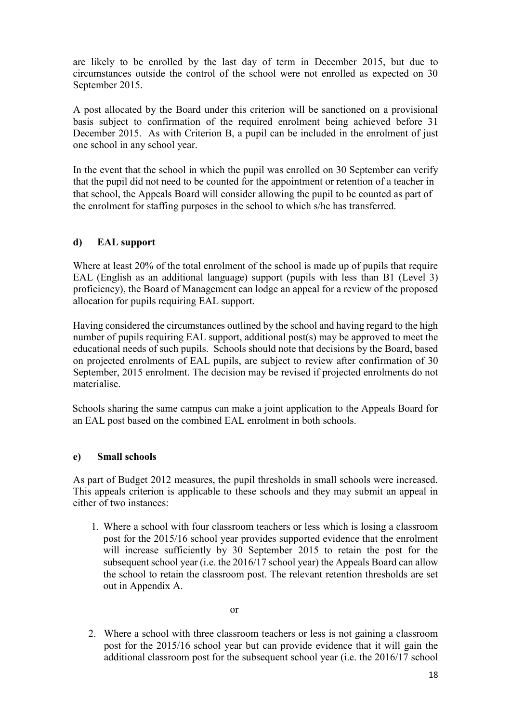are likely to be enrolled by the last day of term in December 2015, but due to circumstances outside the control of the school were not enrolled as expected on 30 September 2015.

A post allocated by the Board under this criterion will be sanctioned on a provisional basis subject to confirmation of the required enrolment being achieved before 31 December 2015. As with Criterion B, a pupil can be included in the enrolment of just one school in any school year.

In the event that the school in which the pupil was enrolled on 30 September can verify that the pupil did not need to be counted for the appointment or retention of a teacher in that school, the Appeals Board will consider allowing the pupil to be counted as part of the enrolment for staffing purposes in the school to which s/he has transferred.

#### **d) EAL support**

Where at least 20% of the total enrolment of the school is made up of pupils that require EAL (English as an additional language) support (pupils with less than B1 (Level 3) proficiency), the Board of Management can lodge an appeal for a review of the proposed allocation for pupils requiring EAL support.

Having considered the circumstances outlined by the school and having regard to the high number of pupils requiring EAL support, additional post(s) may be approved to meet the educational needs of such pupils. Schools should note that decisions by the Board, based on projected enrolments of EAL pupils, are subject to review after confirmation of 30 September, 2015 enrolment. The decision may be revised if projected enrolments do not materialise.

Schools sharing the same campus can make a joint application to the Appeals Board for an EAL post based on the combined EAL enrolment in both schools.

#### **e) Small schools**

As part of Budget 2012 measures, the pupil thresholds in small schools were increased. This appeals criterion is applicable to these schools and they may submit an appeal in either of two instances:

1. Where a school with four classroom teachers or less which is losing a classroom post for the 2015/16 school year provides supported evidence that the enrolment will increase sufficiently by 30 September 2015 to retain the post for the subsequent school year (i.e. the 2016/17 school year) the Appeals Board can allow the school to retain the classroom post. The relevant retention thresholds are set out in Appendix A.

2. Where a school with three classroom teachers or less is not gaining a classroom post for the 2015/16 school year but can provide evidence that it will gain the additional classroom post for the subsequent school year (i.e. the 2016/17 school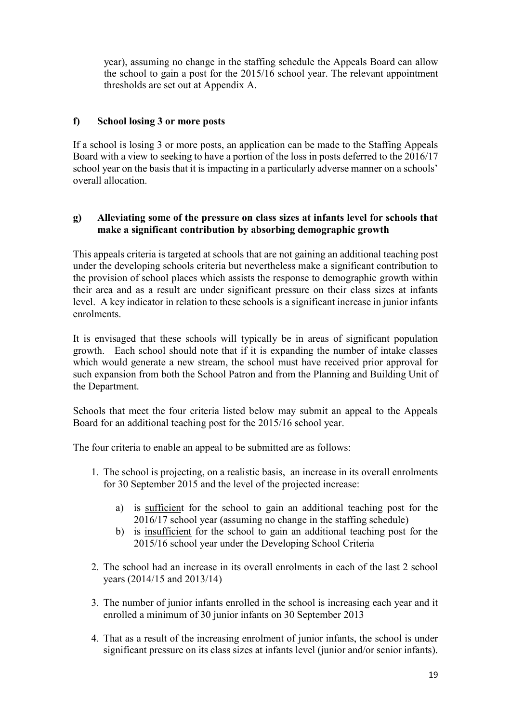year), assuming no change in the staffing schedule the Appeals Board can allow the school to gain a post for the 2015/16 school year. The relevant appointment thresholds are set out at Appendix A.

### **f) School losing 3 or more posts**

If a school is losing 3 or more posts, an application can be made to the Staffing Appeals Board with a view to seeking to have a portion of the loss in posts deferred to the 2016/17 school year on the basis that it is impacting in a particularly adverse manner on a schools' overall allocation.

#### **g) Alleviating some of the pressure on class sizes at infants level for schools that make a significant contribution by absorbing demographic growth**

This appeals criteria is targeted at schools that are not gaining an additional teaching post under the developing schools criteria but nevertheless make a significant contribution to the provision of school places which assists the response to demographic growth within their area and as a result are under significant pressure on their class sizes at infants level. A key indicator in relation to these schools is a significant increase in junior infants enrolments.

It is envisaged that these schools will typically be in areas of significant population growth. Each school should note that if it is expanding the number of intake classes which would generate a new stream, the school must have received prior approval for such expansion from both the School Patron and from the Planning and Building Unit of the Department.

Schools that meet the four criteria listed below may submit an appeal to the Appeals Board for an additional teaching post for the 2015/16 school year.

The four criteria to enable an appeal to be submitted are as follows:

- 1. The school is projecting, on a realistic basis, an increase in its overall enrolments for 30 September 2015 and the level of the projected increase:
	- a) is sufficient for the school to gain an additional teaching post for the 2016/17 school year (assuming no change in the staffing schedule)
	- b) is insufficient for the school to gain an additional teaching post for the 2015/16 school year under the Developing School Criteria
- 2. The school had an increase in its overall enrolments in each of the last 2 school years (2014/15 and 2013/14)
- 3. The number of junior infants enrolled in the school is increasing each year and it enrolled a minimum of 30 junior infants on 30 September 2013
- 4. That as a result of the increasing enrolment of junior infants, the school is under significant pressure on its class sizes at infants level (junior and/or senior infants).